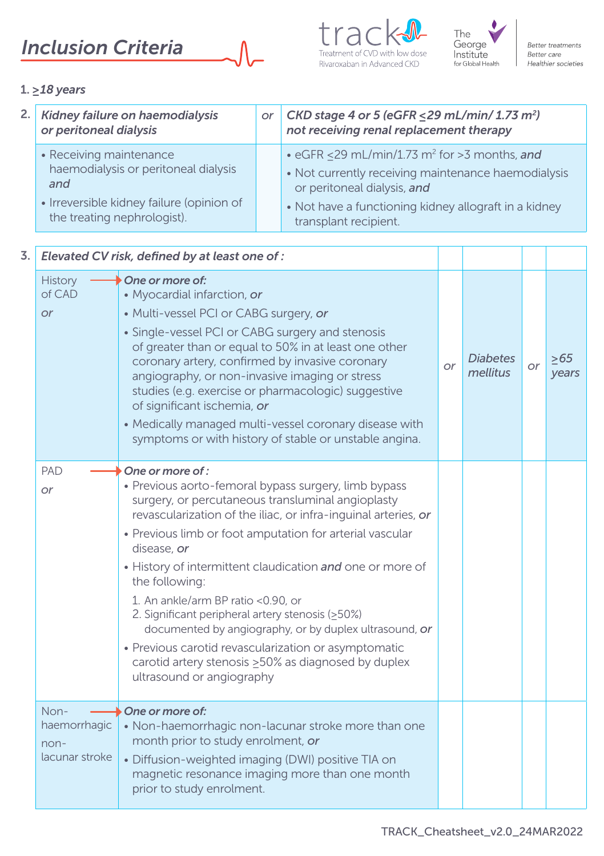# *Inclusion Criteria*







Better treatments Better care Healthier societies

## 1. *≥18 years*

| Kidney failure on haemodialysis<br>or<br>or peritoneal dialysis                                                                                    |  | CKD stage 4 or 5 (eGFR $\leq$ 29 mL/min/ 1.73 m <sup>2</sup> )<br>not receiving renal replacement therapy                                                                                                                        |
|----------------------------------------------------------------------------------------------------------------------------------------------------|--|----------------------------------------------------------------------------------------------------------------------------------------------------------------------------------------------------------------------------------|
| • Receiving maintenance<br>haemodialysis or peritoneal dialysis<br>and<br>• Irreversible kidney failure (opinion of<br>the treating nephrologist). |  | • eGFR <29 mL/min/1.73 m <sup>2</sup> for >3 months, and<br>• Not currently receiving maintenance haemodialysis<br>or peritoneal dialysis, and<br>• Not have a functioning kidney allograft in a kidney<br>transplant recipient. |

| 3. |                                                | Elevated CV risk, defined by at least one of :                                                                                                                                                                                                                                                                                                                                                                                                                                                                                                                                                                                                                  |           |                             |           |              |
|----|------------------------------------------------|-----------------------------------------------------------------------------------------------------------------------------------------------------------------------------------------------------------------------------------------------------------------------------------------------------------------------------------------------------------------------------------------------------------------------------------------------------------------------------------------------------------------------------------------------------------------------------------------------------------------------------------------------------------------|-----------|-----------------------------|-----------|--------------|
|    | History<br>of CAD<br><b>or</b>                 | One or more of:<br>• Myocardial infarction, or<br>• Multi-vessel PCI or CABG surgery, or<br>• Single-vessel PCI or CABG surgery and stenosis<br>of greater than or equal to 50% in at least one other<br>coronary artery, confirmed by invasive coronary<br>angiography, or non-invasive imaging or stress<br>studies (e.g. exercise or pharmacologic) suggestive<br>of significant ischemia, or<br>• Medically managed multi-vessel coronary disease with<br>symptoms or with history of stable or unstable angina.                                                                                                                                            | <b>or</b> | <b>Diabetes</b><br>mellitus | <b>or</b> | >65<br>years |
|    | PAD<br><b>or</b>                               | One or more of :<br>• Previous aorto-femoral bypass surgery, limb bypass<br>surgery, or percutaneous transluminal angioplasty<br>revascularization of the iliac, or infra-inquinal arteries, or<br>• Previous limb or foot amputation for arterial vascular<br>disease, or<br>• History of intermittent claudication and one or more of<br>the following:<br>1. An ankle/arm BP ratio <0.90, or<br>2. Significant peripheral artery stenosis (>50%)<br>documented by angiography, or by duplex ultrasound, or<br>• Previous carotid revascularization or asymptomatic<br>carotid artery stenosis $\geq$ 50% as diagnosed by duplex<br>ultrasound or angiography |           |                             |           |              |
|    | Non-<br>haemorrhagic<br>non-<br>lacunar stroke | One or more of:<br>• Non-haemorrhagic non-lacunar stroke more than one<br>month prior to study enrolment, or<br>· Diffusion-weighted imaging (DWI) positive TIA on<br>magnetic resonance imaging more than one month<br>prior to study enrolment.                                                                                                                                                                                                                                                                                                                                                                                                               |           |                             |           |              |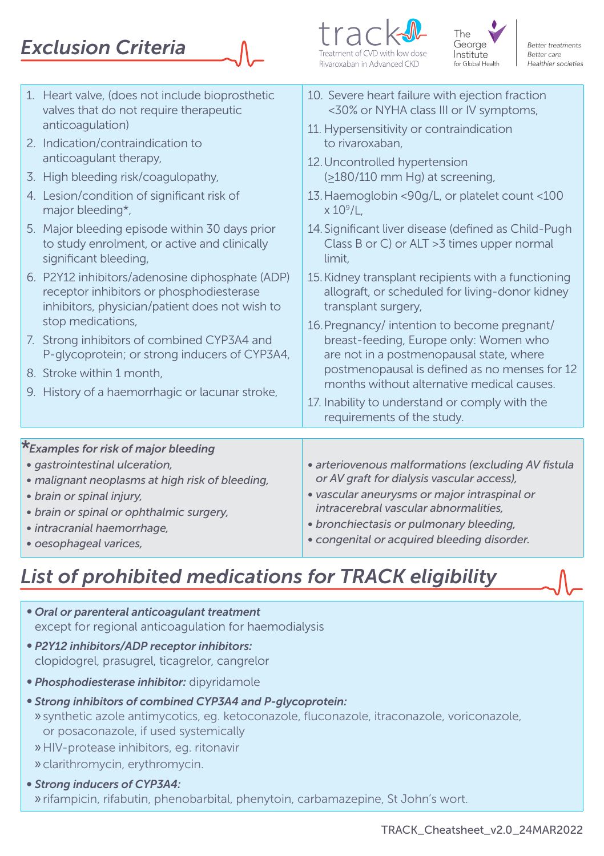# *Exclusion Criteria*





|                                                                                                                                                                                                                                                             | 1. Heart valve, (does not include bioprosthetic<br>valves that do not require therapeutic<br>anticoagulation)<br>2. Indication/contraindication to<br>anticoagulant therapy,<br>3. High bleeding risk/coagulopathy,<br>4. Lesion/condition of significant risk of<br>major bleeding*,<br>5. Major bleeding episode within 30 days prior<br>to study enrolment, or active and clinically<br>significant bleeding,<br>6. P2Y12 inhibitors/adenosine diphosphate (ADP)<br>receptor inhibitors or phosphodiesterase<br>inhibitors, physician/patient does not wish to<br>stop medications,<br>7. Strong inhibitors of combined CYP3A4 and<br>P-glycoprotein; or strong inducers of CYP3A4,<br>8. Stroke within 1 month.<br>9. History of a haemorrhagic or lacunar stroke, | 10. Severe heart failure with ejection fraction<br><30% or NYHA class III or IV symptoms,<br>11. Hypersensitivity or contraindication<br>to rivaroxaban.<br>12. Uncontrolled hypertension<br>$($ >180/110 mm Hg) at screening,<br>13. Haemoglobin <90g/L, or platelet count <100<br>$\times$ 10 $^{\circ}$ /L.<br>14. Significant liver disease (defined as Child-Pugh<br>Class B or C) or ALT > 3 times upper normal<br>limit.<br>15. Kidney transplant recipients with a functioning<br>allograft, or scheduled for living-donor kidney<br>transplant surgery,<br>16. Pregnancy/ intention to become pregnant/<br>breast-feeding, Europe only: Women who<br>are not in a postmenopausal state, where<br>postmenopausal is defined as no menses for 12<br>months without alternative medical causes.<br>17. Inability to understand or comply with the |
|-------------------------------------------------------------------------------------------------------------------------------------------------------------------------------------------------------------------------------------------------------------|------------------------------------------------------------------------------------------------------------------------------------------------------------------------------------------------------------------------------------------------------------------------------------------------------------------------------------------------------------------------------------------------------------------------------------------------------------------------------------------------------------------------------------------------------------------------------------------------------------------------------------------------------------------------------------------------------------------------------------------------------------------------|---------------------------------------------------------------------------------------------------------------------------------------------------------------------------------------------------------------------------------------------------------------------------------------------------------------------------------------------------------------------------------------------------------------------------------------------------------------------------------------------------------------------------------------------------------------------------------------------------------------------------------------------------------------------------------------------------------------------------------------------------------------------------------------------------------------------------------------------------------|
|                                                                                                                                                                                                                                                             |                                                                                                                                                                                                                                                                                                                                                                                                                                                                                                                                                                                                                                                                                                                                                                        | requirements of the study.                                                                                                                                                                                                                                                                                                                                                                                                                                                                                                                                                                                                                                                                                                                                                                                                                              |
|                                                                                                                                                                                                                                                             |                                                                                                                                                                                                                                                                                                                                                                                                                                                                                                                                                                                                                                                                                                                                                                        |                                                                                                                                                                                                                                                                                                                                                                                                                                                                                                                                                                                                                                                                                                                                                                                                                                                         |
| *Examples for risk of major bleeding<br>· gastrointestinal ulceration,<br>• malignant neoplasms at high risk of bleeding,<br>· brain or spinal injury,<br>• brain or spinal or ophthalmic surgery,<br>· intracranial haemorrhage,<br>· oesophageal varices, |                                                                                                                                                                                                                                                                                                                                                                                                                                                                                                                                                                                                                                                                                                                                                                        | · arteriovenous malformations (excluding AV fistula<br>or AV graft for dialysis vascular access),<br>· vascular aneurysms or major intraspinal or<br>intracerebral vascular abnormalities.<br>• bronchiectasis or pulmonary bleeding,<br>· congenital or acquired bleeding disorder.                                                                                                                                                                                                                                                                                                                                                                                                                                                                                                                                                                    |

## *List of prohibited medications for TRACK eligibility*

- *Oral or parenteral anticoagulant treatment* except for regional anticoagulation for haemodialysis
- *P2Y12 inhibitors/ADP receptor inhibitors:*  clopidogrel, prasugrel, ticagrelor, cangrelor
- *Phosphodiesterase inhibitor:* dipyridamole
- *Strong inhibitors of combined CYP3A4 and P-glycoprotein:* » synthetic azole antimycotics, eg. ketoconazole, fluconazole, itraconazole, voriconazole,
	- or posaconazole, if used systemically
	- »HIV-protease inhibitors, eg. ritonavir
	- » clarithromycin, erythromycin.
- *• Strong inducers of CYP3A4:*  » rifampicin, rifabutin, phenobarbital, phenytoin, carbamazepine, St John's wort.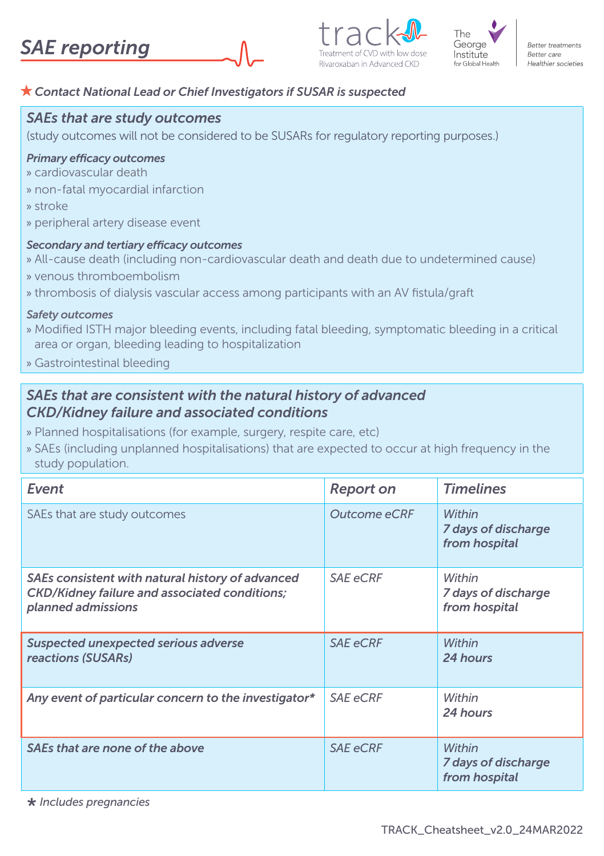



**Better treatments Retter care** Healthier societies

### *Contact National Lead or Chief Investigators if SUSAR is suspected*

### *SAEs that are study outcomes*

(study outcomes will not be considered to be SUSARs for regulatory reporting purposes.)

#### *Primary efficacy outcomes*

- » cardiovascular death
- » non-fatal myocardial infarction
- » stroke
- » peripheral artery disease event

#### *Secondary and tertiary efficacy outcomes*

- » All-cause death (including non-cardiovascular death and death due to undetermined cause)
- » venous thromboembolism
- » thrombosis of dialysis vascular access among participants with an AV fistula/graft

#### *Safety outcomes*

- » Modified ISTH major bleeding events, including fatal bleeding, symptomatic bleeding in a critical area or organ, bleeding leading to hospitalization
- » Gastrointestinal bleeding

### *SAEs that are consistent with the natural history of advanced CKD/Kidney failure and associated conditions*

- » Planned hospitalisations (for example, surgery, respite care, etc)
- » SAEs (including unplanned hospitalisations) that are expected to occur at high frequency in the study population.

| Event                                                                                                                          | <b>Report on</b> | <b>Timelines</b>                               |
|--------------------------------------------------------------------------------------------------------------------------------|------------------|------------------------------------------------|
| SAEs that are study outcomes                                                                                                   | Outcome eCRF     | Within<br>7 days of discharge<br>from hospital |
| SAEs consistent with natural history of advanced<br><b>CKD/Kidney failure and associated conditions;</b><br>planned admissions | <b>SAE</b> eCRF  | Within<br>7 days of discharge<br>from hospital |
| Suspected unexpected serious adverse<br>reactions (SUSARs)                                                                     | <b>SAE eCRF</b>  | Within<br>24 hours                             |
| Any event of particular concern to the investigator*                                                                           | <b>SAE</b> eCRF  | Within<br>24 hours                             |
| SAEs that are none of the above                                                                                                | <b>SAE eCRF</b>  | Within<br>7 days of discharge<br>from hospital |

<sup>\*</sup> *Includes pregnancies*